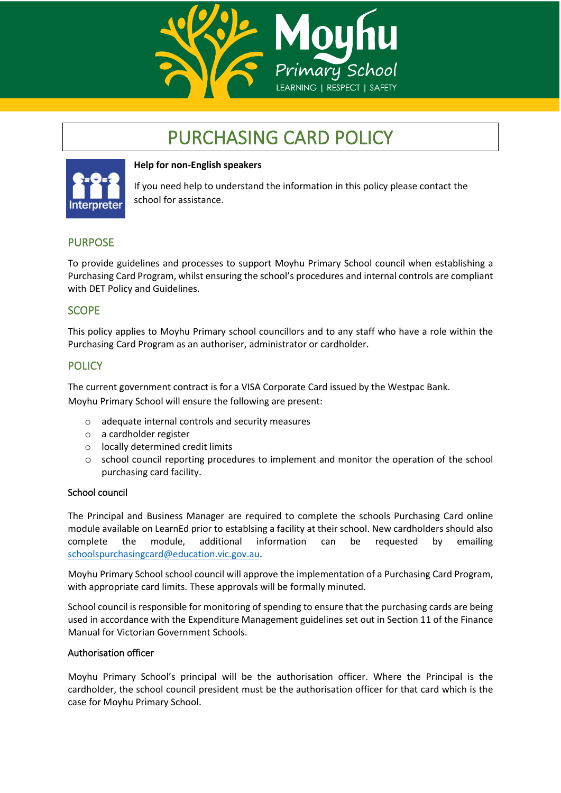

# PURCHASING CARD POLICY



### **Help for non-English speakers**

If you need help to understand the information in this policy please contact the school for assistance.

# PURPOSE

To provide guidelines and processes to support Moyhu Primary School council when establishing a Purchasing Card Program, whilst ensuring the school's procedures and internal controls are compliant with DET Policy and Guidelines.

## **SCOPE**

This policy applies to Moyhu Primary school councillors and to any staff who have a role within the Purchasing Card Program as an authoriser, administrator or cardholder.

# **POLICY**

The current government contract is for a VISA Corporate Card issued by the Westpac Bank. Moyhu Primary School will ensure the following are present:

- o adequate internal controls and security measures
- o a cardholder register
- o locally determined credit limits
- $\circ$  school council reporting procedures to implement and monitor the operation of the school purchasing card facility.

#### School council

The Principal and Business Manager are required to complete the schools Purchasing Card online module available on LearnEd prior to establsing a facility at their school. New cardholders should also complete the module, additional information can be requested by emailing [schoolspurchasingcard@education.vic.gov.au.](mailto:schoolspurchasingcard@education.vic.gov.au)

Moyhu Primary School school council will approve the implementation of a Purchasing Card Program, with appropriate card limits. These approvals will be formally minuted.

School council is responsible for monitoring of spending to ensure that the purchasing cards are being used in accordance with the Expenditure Management guidelines set out in Section 11 of the Finance Manual for Victorian Government Schools.

#### Authorisation officer

Moyhu Primary School's principal will be the authorisation officer. Where the Principal is the cardholder, the school council president must be the authorisation officer for that card which is the case for Moyhu Primary School.